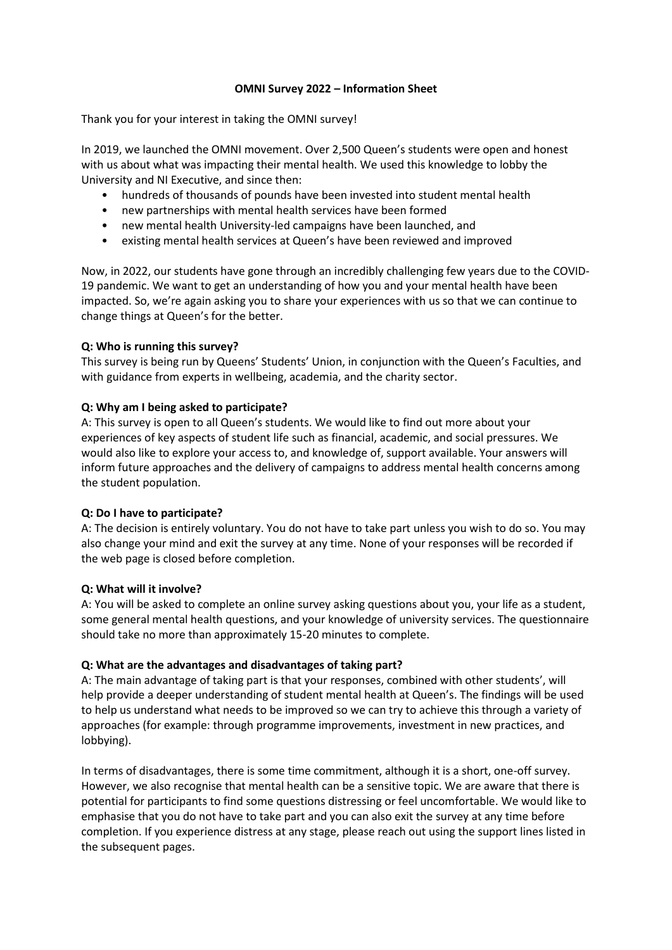## **OMNI Survey 2022 – Information Sheet**

Thank you for your interest in taking the OMNI survey!

In 2019, we launched the OMNI movement. Over 2,500 Queen's students were open and honest with us about what was impacting their mental health. We used this knowledge to lobby the University and NI Executive, and since then:

- hundreds of thousands of pounds have been invested into student mental health
- new partnerships with mental health services have been formed
- new mental health University-led campaigns have been launched, and
- existing mental health services at Queen's have been reviewed and improved

Now, in 2022, our students have gone through an incredibly challenging few years due to the COVID-19 pandemic. We want to get an understanding of how you and your mental health have been impacted. So, we're again asking you to share your experiences with us so that we can continue to change things at Queen's for the better.

## **Q: Who is running this survey?**

This survey is being run by Queens' Students' Union, in conjunction with the Queen's Faculties, and with guidance from experts in wellbeing, academia, and the charity sector.

## **Q: Why am I being asked to participate?**

A: This survey is open to all Queen's students. We would like to find out more about your experiences of key aspects of student life such as financial, academic, and social pressures. We would also like to explore your access to, and knowledge of, support available. Your answers will inform future approaches and the delivery of campaigns to address mental health concerns among the student population.

# **Q: Do I have to participate?**

A: The decision is entirely voluntary. You do not have to take part unless you wish to do so. You may also change your mind and exit the survey at any time. None of your responses will be recorded if the web page is closed before completion.

#### **Q: What will it involve?**

A: You will be asked to complete an online survey asking questions about you, your life as a student, some general mental health questions, and your knowledge of university services. The questionnaire should take no more than approximately 15-20 minutes to complete.

#### **Q: What are the advantages and disadvantages of taking part?**

A: The main advantage of taking part is that your responses, combined with other students', will help provide a deeper understanding of student mental health at Queen's. The findings will be used to help us understand what needs to be improved so we can try to achieve this through a variety of approaches (for example: through programme improvements, investment in new practices, and lobbying).

In terms of disadvantages, there is some time commitment, although it is a short, one-off survey. However, we also recognise that mental health can be a sensitive topic. We are aware that there is potential for participants to find some questions distressing or feel uncomfortable. We would like to emphasise that you do not have to take part and you can also exit the survey at any time before completion. If you experience distress at any stage, please reach out using the support lines listed in the subsequent pages.